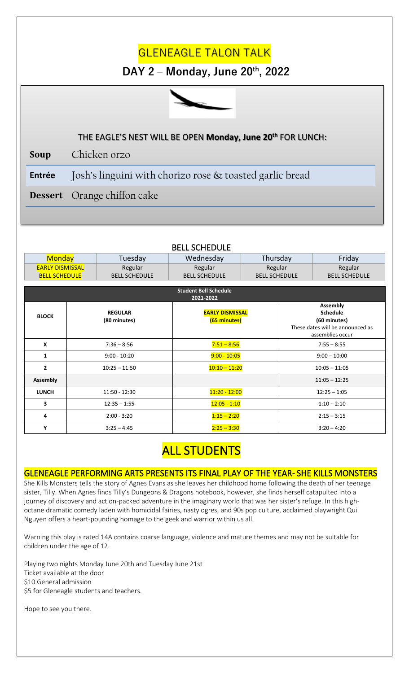## **GLENEAGLE TALON TALK**

### **DAY 2 – Monday, June 20th, 2022**



#### **STUDENT SECTION** THE EAGLE'S NEST WILL BE OPEN **Monday, June 20th** FOR LUNCH:

**Soup** Chicken orzo

**Entrée** Josh's linguini with chorizo rose & toasted garlic bread

**Dessert** Orange chiffon cake

| <b>Monday</b>                             |  | Tuesday                        | Wednesday                              | Thursday             |                                                                                                            | Friday               |
|-------------------------------------------|--|--------------------------------|----------------------------------------|----------------------|------------------------------------------------------------------------------------------------------------|----------------------|
| <b>EARLY DISMISSAL</b>                    |  | Regular                        | Regular                                | Regular              |                                                                                                            | Regular              |
| <b>BELL SCHEDULE</b>                      |  | <b>BELL SCHEDULE</b>           | <b>BELL SCHEDULE</b>                   | <b>BELL SCHEDULE</b> |                                                                                                            | <b>BELL SCHEDULE</b> |
|                                           |  |                                |                                        |                      |                                                                                                            |                      |
| <b>Student Bell Schedule</b><br>2021-2022 |  |                                |                                        |                      |                                                                                                            |                      |
| <b>BLOCK</b>                              |  | <b>REGULAR</b><br>(80 minutes) | <b>EARLY DISMISSAL</b><br>(65 minutes) |                      | <b>Assembly</b><br><b>Schedule</b><br>(60 minutes)<br>These dates will be announced as<br>assemblies occur |                      |
| X                                         |  | $7:36 - 8:56$                  | $7:51 - 8:56$                          |                      | $7:55 - 8:55$                                                                                              |                      |
| 1                                         |  | $9:00 - 10:20$                 | $9:00 - 10:05$                         |                      | $9:00 - 10:00$                                                                                             |                      |
| $\overline{2}$                            |  | $10:25 - 11:50$                | $10:10 - 11:20$                        |                      | $10:05 - 11:05$                                                                                            |                      |
| <b>Assembly</b>                           |  |                                |                                        |                      |                                                                                                            | $11:05 - 12:25$      |
| <b>LUNCH</b>                              |  | 11:50 - 12:30                  | $11:20 - 12:00$                        |                      | $12:25 - 1:05$                                                                                             |                      |
| 3                                         |  | $12:35 - 1:55$                 | $12:05 - 1:10$                         |                      | $1:10 - 2:10$                                                                                              |                      |
| 4                                         |  | $2:00 - 3:20$                  | $1:15 - 2:20$                          |                      | $2:15 - 3:15$                                                                                              |                      |
| Υ                                         |  | $3:25 - 4:45$                  | $2:25 - 3:30$                          |                      |                                                                                                            | $3:20 - 4:20$        |

#### BELL SCHEDULE

# **ALL STUDENTS**

#### GLENEAGLE PERFORMING ARTS PRESENTS ITS FINAL PLAY OF THE YEAR- SHE KILLS MONSTERS

She Kills Monsters tells the story of Agnes Evans as she leaves her childhood home following the death of her teenage sister, Tilly. When Agnes finds Tilly's Dungeons & Dragons notebook, however, she finds herself catapulted into a journey of discovery and action-packed adventure in the imaginary world that was her sister's refuge. In this highoctane dramatic comedy laden with homicidal fairies, nasty ogres, and 90s pop culture, acclaimed playwright Qui Nguyen offers a heart-pounding homage to the geek and warrior within us all.

Warning this play is rated 14A contains coarse language, violence and mature themes and may not be suitable for children under the age of 12.

Playing two nights Monday June 20th and Tuesday June 21st Ticket available at the door \$10 General admission \$5 for Gleneagle students and teachers.

Hope to see you there.